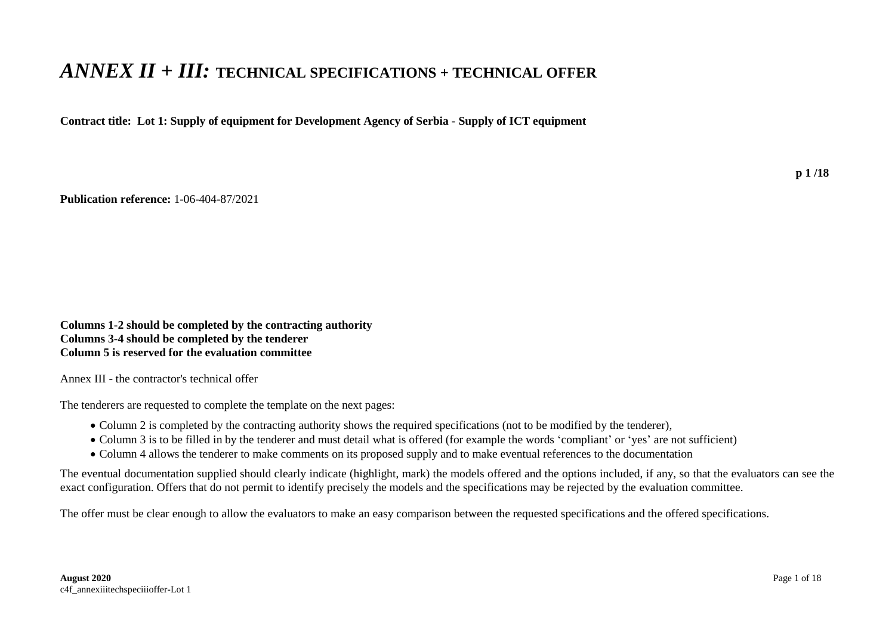## *ANNEX II + III:* **TECHNICAL SPECIFICATIONS + TECHNICAL OFFER**

**Contract title: Lot 1: Supply of equipment for Development Agency of Serbia - Supply of ICT equipment**

**Publication reference:** 1-06-404-87/2021

**Columns 1-2 should be completed by the contracting authority Columns 3-4 should be completed by the tenderer Column 5 is reserved for the evaluation committee**

Annex III - the contractor's technical offer

The tenderers are requested to complete the template on the next pages:

- Column 2 is completed by the contracting authority shows the required specifications (not to be modified by the tenderer),
- Column 3 is to be filled in by the tenderer and must detail what is offered (for example the words 'compliant' or 'yes' are not sufficient)
- Column 4 allows the tenderer to make comments on its proposed supply and to make eventual references to the documentation

The eventual documentation supplied should clearly indicate (highlight, mark) the models offered and the options included, if any, so that the evaluators can see the exact configuration. Offers that do not permit to identify precisely the models and the specifications may be rejected by the evaluation committee.

The offer must be clear enough to allow the evaluators to make an easy comparison between the requested specifications and the offered specifications.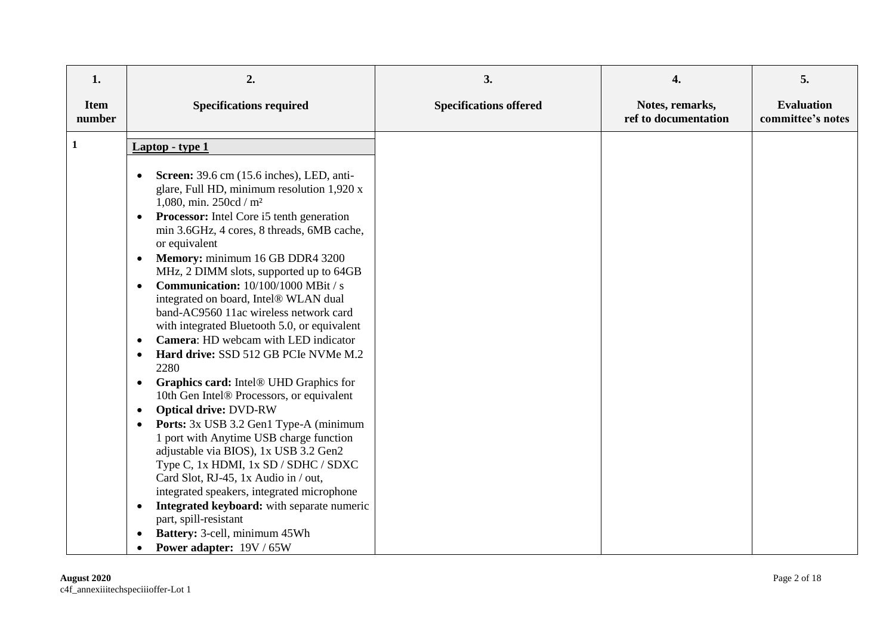| 1.                    | 2.                                                                                                                                                                                                                                                                                                                                                                                                                                                                                                                                                                                                                                                                                                                                                                                                                                                                                                                                                                                                                                                                                                                                                                                                                    | 3.                            | 4.                                      | 5.                                     |
|-----------------------|-----------------------------------------------------------------------------------------------------------------------------------------------------------------------------------------------------------------------------------------------------------------------------------------------------------------------------------------------------------------------------------------------------------------------------------------------------------------------------------------------------------------------------------------------------------------------------------------------------------------------------------------------------------------------------------------------------------------------------------------------------------------------------------------------------------------------------------------------------------------------------------------------------------------------------------------------------------------------------------------------------------------------------------------------------------------------------------------------------------------------------------------------------------------------------------------------------------------------|-------------------------------|-----------------------------------------|----------------------------------------|
| <b>Item</b><br>number | <b>Specifications required</b>                                                                                                                                                                                                                                                                                                                                                                                                                                                                                                                                                                                                                                                                                                                                                                                                                                                                                                                                                                                                                                                                                                                                                                                        | <b>Specifications offered</b> | Notes, remarks,<br>ref to documentation | <b>Evaluation</b><br>committee's notes |
| $\mathbf 1$           | Laptop - type 1                                                                                                                                                                                                                                                                                                                                                                                                                                                                                                                                                                                                                                                                                                                                                                                                                                                                                                                                                                                                                                                                                                                                                                                                       |                               |                                         |                                        |
|                       | <b>Screen:</b> 39.6 cm (15.6 inches), LED, anti-<br>glare, Full HD, minimum resolution 1,920 x<br>1,080, min. 250cd / m <sup>2</sup><br>Processor: Intel Core i5 tenth generation<br>$\bullet$<br>min 3.6GHz, 4 cores, 8 threads, 6MB cache,<br>or equivalent<br>Memory: minimum 16 GB DDR4 3200<br>$\bullet$<br>MHz, 2 DIMM slots, supported up to 64GB<br><b>Communication:</b> $10/100/1000$ MBit / s<br>$\bullet$<br>integrated on board, Intel® WLAN dual<br>band-AC9560 11ac wireless network card<br>with integrated Bluetooth 5.0, or equivalent<br>Camera: HD webcam with LED indicator<br>Hard drive: SSD 512 GB PCIe NVMe M.2<br>2280<br>Graphics card: Intel® UHD Graphics for<br>$\bullet$<br>10th Gen Intel® Processors, or equivalent<br><b>Optical drive: DVD-RW</b><br>$\bullet$<br>Ports: 3x USB 3.2 Gen1 Type-A (minimum<br>1 port with Anytime USB charge function<br>adjustable via BIOS), 1x USB 3.2 Gen2<br>Type C, 1x HDMI, 1x SD / SDHC / SDXC<br>Card Slot, RJ-45, 1x Audio in / out,<br>integrated speakers, integrated microphone<br>Integrated keyboard: with separate numeric<br>$\bullet$<br>part, spill-resistant<br>Battery: 3-cell, minimum 45Wh<br><b>Power adapter:</b> 19V / 65W |                               |                                         |                                        |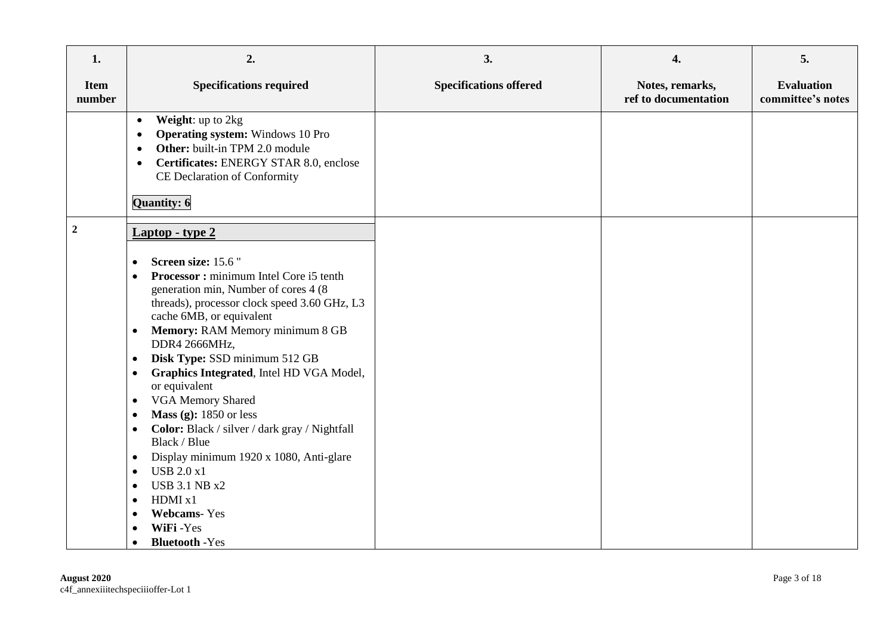| 1.                    | 2.                                                                                                                                                                                                                                                                                                                                                                                                                                                                                                                                                                                                                                                                                                                                                                                                                                                      | 3.                            | 4.                                      | 5.                                     |
|-----------------------|---------------------------------------------------------------------------------------------------------------------------------------------------------------------------------------------------------------------------------------------------------------------------------------------------------------------------------------------------------------------------------------------------------------------------------------------------------------------------------------------------------------------------------------------------------------------------------------------------------------------------------------------------------------------------------------------------------------------------------------------------------------------------------------------------------------------------------------------------------|-------------------------------|-----------------------------------------|----------------------------------------|
| <b>Item</b><br>number | <b>Specifications required</b>                                                                                                                                                                                                                                                                                                                                                                                                                                                                                                                                                                                                                                                                                                                                                                                                                          | <b>Specifications offered</b> | Notes, remarks,<br>ref to documentation | <b>Evaluation</b><br>committee's notes |
|                       | Weight: up to 2kg<br>$\bullet$<br><b>Operating system:</b> Windows 10 Pro<br>$\bullet$<br>Other: built-in TPM 2.0 module<br>$\bullet$<br>Certificates: ENERGY STAR 8.0, enclose<br>$\bullet$<br>CE Declaration of Conformity<br>Quantity: 6                                                                                                                                                                                                                                                                                                                                                                                                                                                                                                                                                                                                             |                               |                                         |                                        |
| $\boldsymbol{2}$      | Laptop - type 2<br>Screen size: 15.6"<br>$\bullet$<br>Processor: minimum Intel Core i5 tenth<br>$\bullet$<br>generation min, Number of cores 4 (8)<br>threads), processor clock speed 3.60 GHz, L3<br>cache 6MB, or equivalent<br><b>Memory: RAM Memory minimum 8 GB</b><br>$\bullet$<br>DDR4 2666MHz,<br>Disk Type: SSD minimum 512 GB<br>$\bullet$<br>Graphics Integrated, Intel HD VGA Model,<br>$\bullet$<br>or equivalent<br><b>VGA Memory Shared</b><br>$\bullet$<br>Mass (g): $1850$ or less<br>$\bullet$<br>Color: Black / silver / dark gray / Nightfall<br>$\bullet$<br>Black / Blue<br>Display minimum 1920 x 1080, Anti-glare<br>$\bullet$<br><b>USB 2.0 x1</b><br>$\bullet$<br><b>USB 3.1 NB x2</b><br>$\bullet$<br>HDMI x1<br>$\bullet$<br><b>Webcams-Yes</b><br>$\bullet$<br>WiFi-Yes<br>$\bullet$<br><b>Bluetooth</b> -Yes<br>$\bullet$ |                               |                                         |                                        |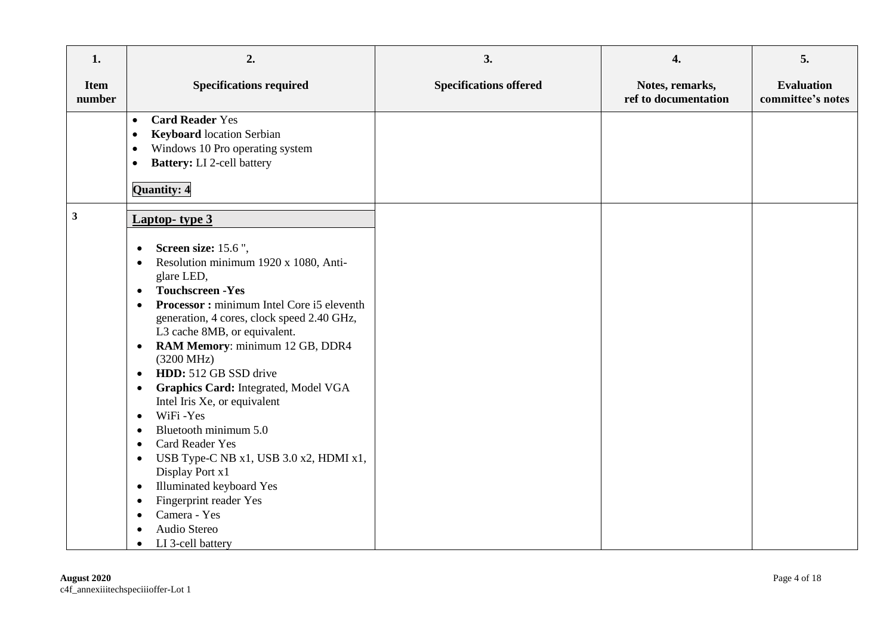| 1.                    | 2.                                                                                                                                                                                                                                                                                                                                                                                                                                                                                                                                                                                                                                                                                                                                                                                                                                                                | 3.                            | 4.                                      | 5.                                     |
|-----------------------|-------------------------------------------------------------------------------------------------------------------------------------------------------------------------------------------------------------------------------------------------------------------------------------------------------------------------------------------------------------------------------------------------------------------------------------------------------------------------------------------------------------------------------------------------------------------------------------------------------------------------------------------------------------------------------------------------------------------------------------------------------------------------------------------------------------------------------------------------------------------|-------------------------------|-----------------------------------------|----------------------------------------|
| <b>Item</b><br>number | <b>Specifications required</b>                                                                                                                                                                                                                                                                                                                                                                                                                                                                                                                                                                                                                                                                                                                                                                                                                                    | <b>Specifications offered</b> | Notes, remarks,<br>ref to documentation | <b>Evaluation</b><br>committee's notes |
|                       | <b>Card Reader Yes</b><br>$\bullet$<br><b>Keyboard</b> location Serbian<br>$\bullet$<br>Windows 10 Pro operating system<br>$\bullet$<br><b>Battery:</b> LI 2-cell battery<br>$\bullet$<br><b>Quantity: 4</b>                                                                                                                                                                                                                                                                                                                                                                                                                                                                                                                                                                                                                                                      |                               |                                         |                                        |
| $\mathbf{3}$          | <b>Laptop-</b> type 3<br>Screen size: 15.6",<br>$\bullet$<br>Resolution minimum 1920 x 1080, Anti-<br>$\bullet$<br>glare LED,<br><b>Touchscreen - Yes</b><br>$\bullet$<br>Processor: minimum Intel Core i5 eleventh<br>$\bullet$<br>generation, 4 cores, clock speed 2.40 GHz,<br>L3 cache 8MB, or equivalent.<br>RAM Memory: minimum 12 GB, DDR4<br>$\bullet$<br>$(3200 \text{ MHz})$<br>HDD: 512 GB SSD drive<br>$\bullet$<br>Graphics Card: Integrated, Model VGA<br>$\bullet$<br>Intel Iris Xe, or equivalent<br>WiFi-Yes<br>$\bullet$<br>Bluetooth minimum 5.0<br>$\epsilon$<br><b>Card Reader Yes</b><br>$\bullet$<br>USB Type-C NB x1, USB 3.0 x2, HDMI x1,<br>$\bullet$<br>Display Port x1<br>Illuminated keyboard Yes<br>$\bullet$<br>Fingerprint reader Yes<br>$\bullet$<br>Camera - Yes<br>$\bullet$<br>Audio Stereo<br>$\bullet$<br>LI 3-cell battery |                               |                                         |                                        |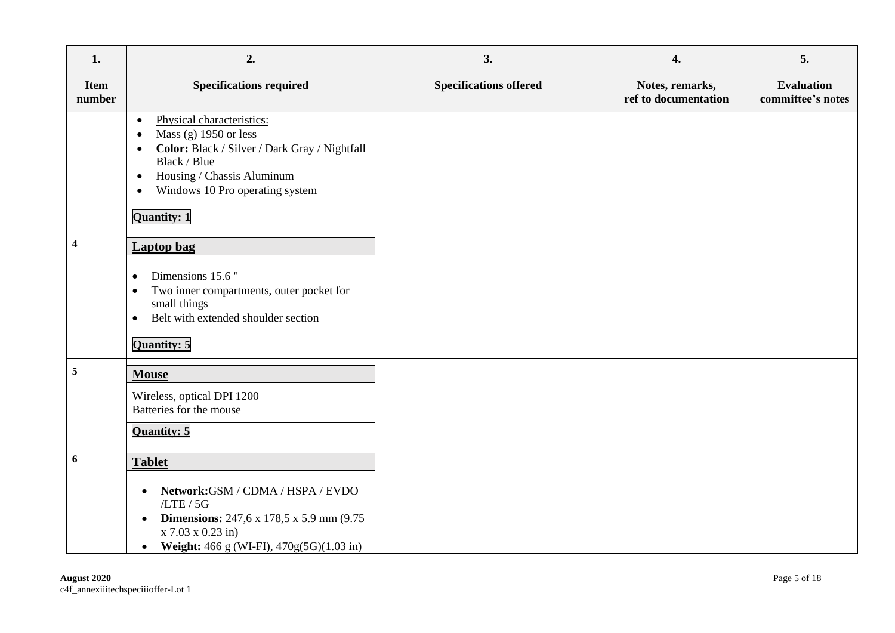| 1.                    | 2.                                                                                                                                                                                                                                                        | 3.                            | 4.                                      | 5.                                     |
|-----------------------|-----------------------------------------------------------------------------------------------------------------------------------------------------------------------------------------------------------------------------------------------------------|-------------------------------|-----------------------------------------|----------------------------------------|
| <b>Item</b><br>number | <b>Specifications required</b>                                                                                                                                                                                                                            | <b>Specifications offered</b> | Notes, remarks,<br>ref to documentation | <b>Evaluation</b><br>committee's notes |
|                       | Physical characteristics:<br>$\bullet$<br>Mass (g) $1950$ or less<br>Color: Black / Silver / Dark Gray / Nightfall<br>$\bullet$<br>Black / Blue<br>Housing / Chassis Aluminum<br>$\bullet$<br>Windows 10 Pro operating system<br>$\bullet$<br>Quantity: 1 |                               |                                         |                                        |
| $\boldsymbol{4}$      | <b>Laptop</b> bag<br>Dimensions 15.6"<br>$\bullet$<br>Two inner compartments, outer pocket for<br>$\bullet$<br>small things<br>Belt with extended shoulder section<br>$\bullet$<br>Quantity: 5                                                            |                               |                                         |                                        |
| $\overline{5}$        | <b>Mouse</b><br>Wireless, optical DPI 1200<br>Batteries for the mouse<br>Quantity: 5                                                                                                                                                                      |                               |                                         |                                        |
| 6                     | <b>Tablet</b><br>Network:GSM / CDMA / HSPA / EVDO<br>$\bullet$<br>/LTE / 5G<br><b>Dimensions:</b> 247,6 x 178,5 x 5.9 mm (9.75)<br>$\bullet$<br>$x$ 7.03 $x$ 0.23 in)<br>Weight: 466 g (WI-FI), 470g(5G)(1.03 in)<br>$\bullet$                            |                               |                                         |                                        |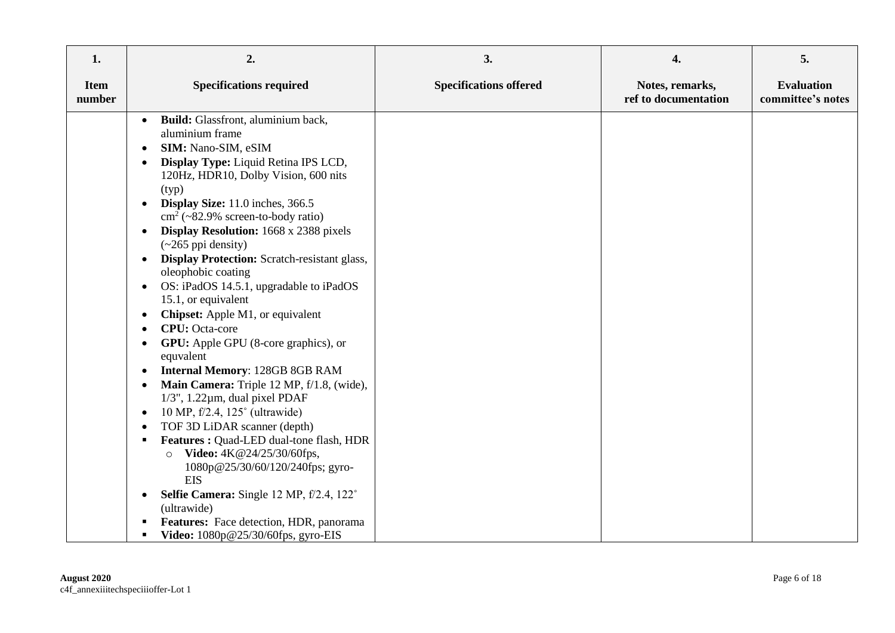| 1.                    | 2.                                                                                                                                                                                                                                                                                                                                                                                                                                                                                                                                                                                                                                                                                                                                                                                                                                                                                                                                                                                                                                                                                                                                                                                                                                                                                                                               | 3.                            | 4.                                      | 5.                                     |
|-----------------------|----------------------------------------------------------------------------------------------------------------------------------------------------------------------------------------------------------------------------------------------------------------------------------------------------------------------------------------------------------------------------------------------------------------------------------------------------------------------------------------------------------------------------------------------------------------------------------------------------------------------------------------------------------------------------------------------------------------------------------------------------------------------------------------------------------------------------------------------------------------------------------------------------------------------------------------------------------------------------------------------------------------------------------------------------------------------------------------------------------------------------------------------------------------------------------------------------------------------------------------------------------------------------------------------------------------------------------|-------------------------------|-----------------------------------------|----------------------------------------|
| <b>Item</b><br>number | <b>Specifications required</b>                                                                                                                                                                                                                                                                                                                                                                                                                                                                                                                                                                                                                                                                                                                                                                                                                                                                                                                                                                                                                                                                                                                                                                                                                                                                                                   | <b>Specifications offered</b> | Notes, remarks,<br>ref to documentation | <b>Evaluation</b><br>committee's notes |
|                       | Build: Glassfront, aluminium back,<br>$\bullet$<br>aluminium frame<br>SIM: Nano-SIM, eSIM<br>٠<br>Display Type: Liquid Retina IPS LCD,<br>$\bullet$<br>120Hz, HDR10, Dolby Vision, 600 nits<br>(typ)<br>Display Size: 11.0 inches, 366.5<br>$\bullet$<br>$\text{cm}^2$ (~82.9% screen-to-body ratio)<br><b>Display Resolution:</b> 1668 x 2388 pixels<br>$\bullet$<br>$(\sim 265$ ppi density)<br><b>Display Protection:</b> Scratch-resistant glass,<br>$\bullet$<br>oleophobic coating<br>OS: iPadOS 14.5.1, upgradable to iPadOS<br>$\bullet$<br>15.1, or equivalent<br><b>Chipset:</b> Apple M1, or equivalent<br>$\bullet$<br><b>CPU</b> : Octa-core<br>$\bullet$<br><b>GPU:</b> Apple GPU (8-core graphics), or<br>$\bullet$<br>equvalent<br><b>Internal Memory: 128GB 8GB RAM</b><br>$\bullet$<br>Main Camera: Triple 12 MP, f/1.8, (wide),<br>$\bullet$<br>$1/3$ ", $1.22 \mu m$ , dual pixel PDAF<br>10 MP, f/2.4, 125° (ultrawide)<br>$\bullet$<br>TOF 3D LiDAR scanner (depth)<br>Features: Quad-LED dual-tone flash, HDR<br>$\blacksquare$<br>Video: 4K@24/25/30/60fps,<br>$\circ$<br>1080p@25/30/60/120/240fps; gyro-<br><b>EIS</b><br>Selfie Camera: Single 12 MP, f/2.4, 122°<br>$\bullet$<br>(ultrawide)<br>Features: Face detection, HDR, panorama<br>٠<br>Video: 1080p@25/30/60fps, gyro-EIS<br>$\blacksquare$ |                               |                                         |                                        |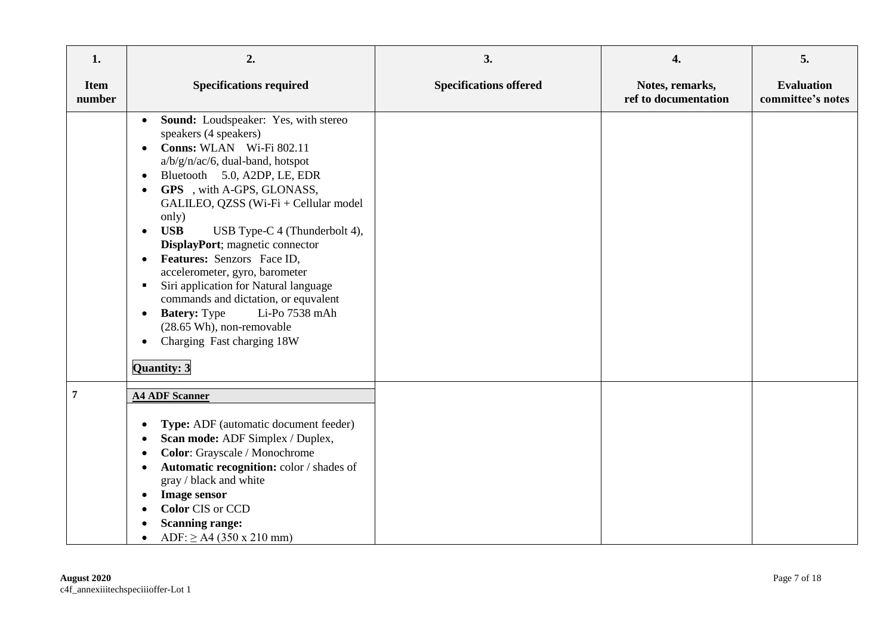| 1.                    | 2.                                                                                                                                                                                                                                                                                                                                                                                                                                                                                                                                                                                                                                                                                                 | 3.                            | 4.                                      | 5.                                     |
|-----------------------|----------------------------------------------------------------------------------------------------------------------------------------------------------------------------------------------------------------------------------------------------------------------------------------------------------------------------------------------------------------------------------------------------------------------------------------------------------------------------------------------------------------------------------------------------------------------------------------------------------------------------------------------------------------------------------------------------|-------------------------------|-----------------------------------------|----------------------------------------|
| <b>Item</b><br>number | <b>Specifications required</b>                                                                                                                                                                                                                                                                                                                                                                                                                                                                                                                                                                                                                                                                     | <b>Specifications offered</b> | Notes, remarks,<br>ref to documentation | <b>Evaluation</b><br>committee's notes |
|                       | Sound: Loudspeaker: Yes, with stereo<br>$\bullet$<br>speakers (4 speakers)<br>Conns: WLAN Wi-Fi 802.11<br>$\bullet$<br>a/b/g/n/ac/6, dual-band, hotspot<br>Bluetooth 5.0, A2DP, LE, EDR<br>$\bullet$<br>GPS, with A-GPS, GLONASS,<br>$\bullet$<br>GALILEO, QZSS (Wi-Fi + Cellular model<br>only)<br><b>USB</b><br>USB Type-C 4 (Thunderbolt 4),<br>$\bullet$<br>DisplayPort; magnetic connector<br>Features: Senzors Face ID,<br>accelerometer, gyro, barometer<br>Siri application for Natural language<br>٠<br>commands and dictation, or equvalent<br><b>Batery:</b> Type<br>Li-Po 7538 mAh<br>$\bullet$<br>(28.65 Wh), non-removable<br>Charging Fast charging 18W<br>$\bullet$<br>Quantity: 3 |                               |                                         |                                        |
| 7                     | <b>A4 ADF Scanner</b><br>Type: ADF (automatic document feeder)<br>$\bullet$<br>Scan mode: ADF Simplex / Duplex,<br>Color: Grayscale / Monochrome<br>Automatic recognition: color / shades of<br>$\bullet$<br>gray / black and white<br><b>Image sensor</b><br>$\bullet$<br><b>Color CIS or CCD</b><br>$\bullet$<br><b>Scanning range:</b><br>$ADF: \geq A4 (350 \times 210 \text{ mm})$                                                                                                                                                                                                                                                                                                            |                               |                                         |                                        |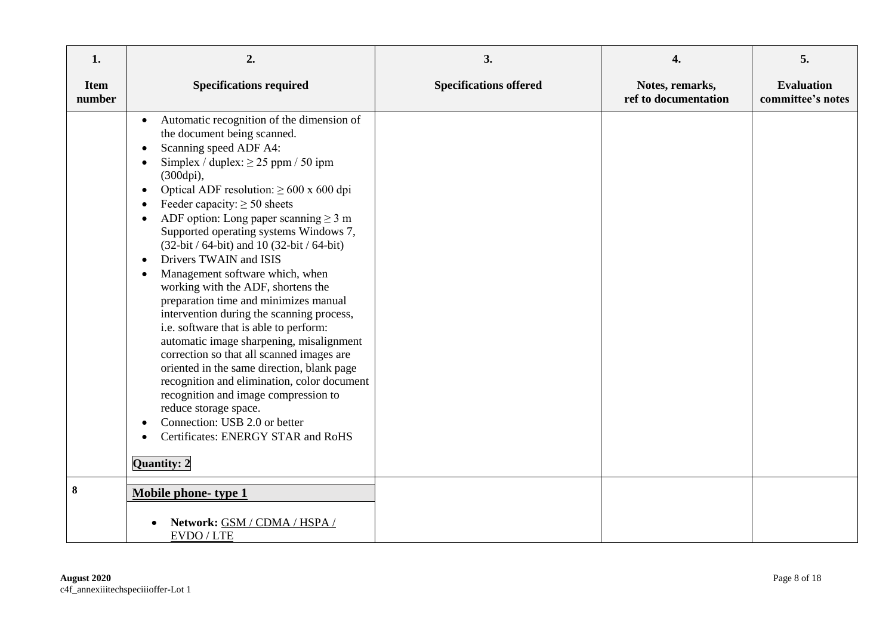| 1.                    | 2.                                                                                                                                                                                                                                                                                                                                                                                                                                                                                                                                                                                                                                                                                                                                                                                                                                                                                                                                                                                                                                                             | 3.                            | 4.                                      | 5.                                     |
|-----------------------|----------------------------------------------------------------------------------------------------------------------------------------------------------------------------------------------------------------------------------------------------------------------------------------------------------------------------------------------------------------------------------------------------------------------------------------------------------------------------------------------------------------------------------------------------------------------------------------------------------------------------------------------------------------------------------------------------------------------------------------------------------------------------------------------------------------------------------------------------------------------------------------------------------------------------------------------------------------------------------------------------------------------------------------------------------------|-------------------------------|-----------------------------------------|----------------------------------------|
| <b>Item</b><br>number | <b>Specifications required</b>                                                                                                                                                                                                                                                                                                                                                                                                                                                                                                                                                                                                                                                                                                                                                                                                                                                                                                                                                                                                                                 | <b>Specifications offered</b> | Notes, remarks,<br>ref to documentation | <b>Evaluation</b><br>committee's notes |
|                       | Automatic recognition of the dimension of<br>$\bullet$<br>the document being scanned.<br>Scanning speed ADF A4:<br>$\bullet$<br>Simplex / duplex: $\geq$ 25 ppm / 50 ipm<br>$\bullet$<br>(300dpi),<br>Optical ADF resolution: $\geq 600 \times 600$ dpi<br>$\bullet$<br>Feeder capacity: $\geq 50$ sheets<br>$\bullet$<br>ADF option: Long paper scanning $\geq 3$ m<br>Supported operating systems Windows 7,<br>(32-bit / 64-bit) and 10 (32-bit / 64-bit)<br>Drivers TWAIN and ISIS<br>$\bullet$<br>Management software which, when<br>٠<br>working with the ADF, shortens the<br>preparation time and minimizes manual<br>intervention during the scanning process,<br>i.e. software that is able to perform:<br>automatic image sharpening, misalignment<br>correction so that all scanned images are<br>oriented in the same direction, blank page<br>recognition and elimination, color document<br>recognition and image compression to<br>reduce storage space.<br>Connection: USB 2.0 or better<br>Certificates: ENERGY STAR and RoHS<br>Quantity: 2 |                               |                                         |                                        |
| 8                     | Mobile phone-type 1<br>Network: GSM / CDMA / HSPA /                                                                                                                                                                                                                                                                                                                                                                                                                                                                                                                                                                                                                                                                                                                                                                                                                                                                                                                                                                                                            |                               |                                         |                                        |
|                       | EVDO / LTE                                                                                                                                                                                                                                                                                                                                                                                                                                                                                                                                                                                                                                                                                                                                                                                                                                                                                                                                                                                                                                                     |                               |                                         |                                        |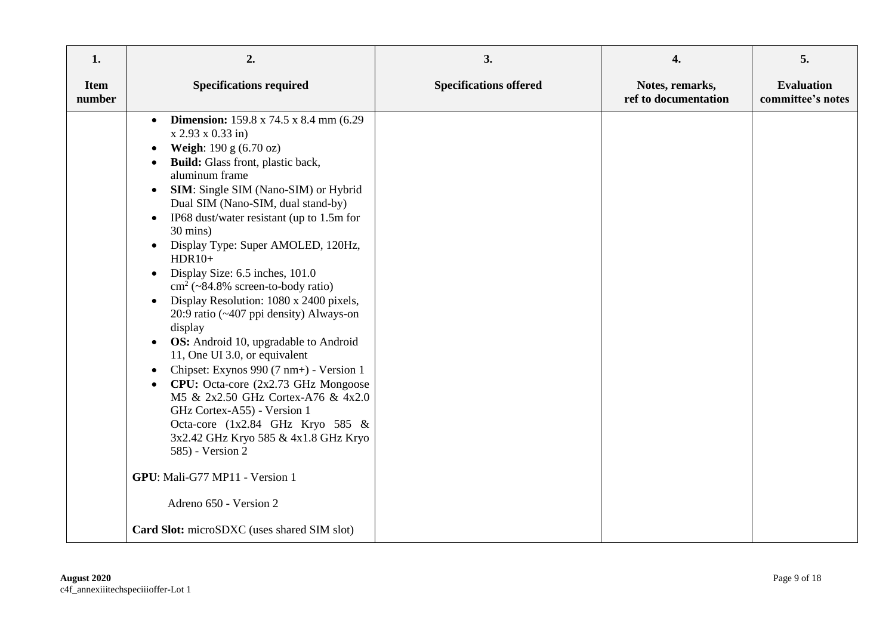| 1.                    | 2.                                                                                                                                                                                                                                                                                                                                                                                                                                                                                                                                                                                                                                                                                                                                                                                                                                                                                                                                                                                                | 3.                            | 4.                                      | 5.                                     |
|-----------------------|---------------------------------------------------------------------------------------------------------------------------------------------------------------------------------------------------------------------------------------------------------------------------------------------------------------------------------------------------------------------------------------------------------------------------------------------------------------------------------------------------------------------------------------------------------------------------------------------------------------------------------------------------------------------------------------------------------------------------------------------------------------------------------------------------------------------------------------------------------------------------------------------------------------------------------------------------------------------------------------------------|-------------------------------|-----------------------------------------|----------------------------------------|
| <b>Item</b><br>number | <b>Specifications required</b>                                                                                                                                                                                                                                                                                                                                                                                                                                                                                                                                                                                                                                                                                                                                                                                                                                                                                                                                                                    | <b>Specifications offered</b> | Notes, remarks,<br>ref to documentation | <b>Evaluation</b><br>committee's notes |
|                       | <b>Dimension:</b> 159.8 x 74.5 x 8.4 mm (6.29)<br>$\bullet$<br>x 2.93 x 0.33 in<br><b>Weigh:</b> $190 \text{ g} (6.70 \text{ oz})$<br>Build: Glass front, plastic back,<br>aluminum frame<br>SIM: Single SIM (Nano-SIM) or Hybrid<br>Dual SIM (Nano-SIM, dual stand-by)<br>IP68 dust/water resistant (up to 1.5m for<br>$30 \text{ mins}$ )<br>Display Type: Super AMOLED, 120Hz,<br>$HDR10+$<br>Display Size: 6.5 inches, 101.0<br>$\text{cm}^2$ (~84.8% screen-to-body ratio)<br>Display Resolution: 1080 x 2400 pixels,<br>$\bullet$<br>20:9 ratio (~407 ppi density) Always-on<br>display<br><b>OS:</b> Android 10, upgradable to Android<br>11, One UI 3.0, or equivalent<br>Chipset: Exynos 990 (7 nm+) - Version 1<br>CPU: Octa-core (2x2.73 GHz Mongoose<br>M5 & 2x2.50 GHz Cortex-A76 & 4x2.0<br>GHz Cortex-A55) - Version 1<br>Octa-core (1x2.84 GHz Kryo 585 &<br>3x2.42 GHz Kryo 585 & 4x1.8 GHz Kryo<br>585) - Version 2<br>GPU: Mali-G77 MP11 - Version 1<br>Adreno 650 - Version 2 |                               |                                         |                                        |
|                       | Card Slot: microSDXC (uses shared SIM slot)                                                                                                                                                                                                                                                                                                                                                                                                                                                                                                                                                                                                                                                                                                                                                                                                                                                                                                                                                       |                               |                                         |                                        |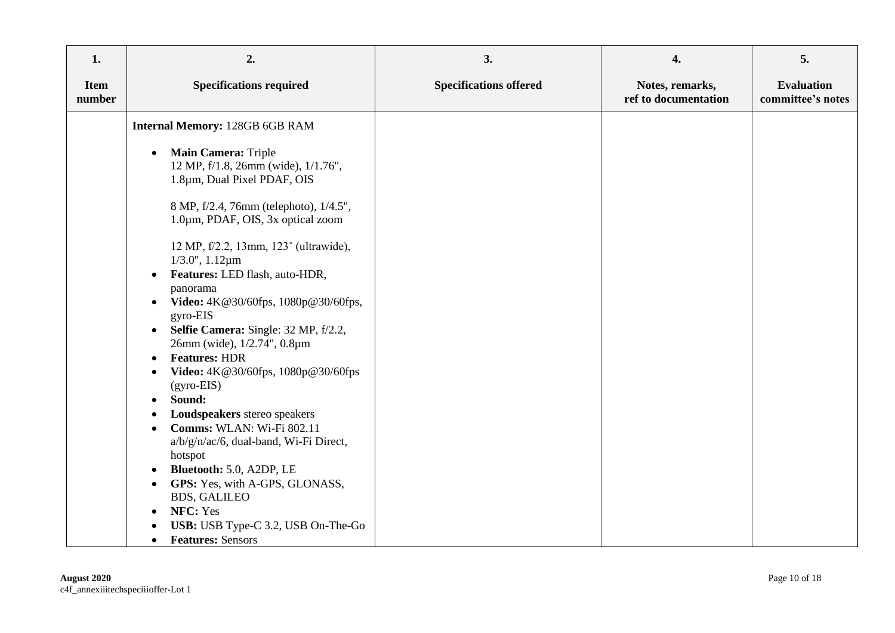| 1.                    | 2.                                                                                                                                                                                                                                                                                                                                                                                                                                                                                                                                                                                                                                                                                                | 3.                            | 4.                                      | 5.                                     |
|-----------------------|---------------------------------------------------------------------------------------------------------------------------------------------------------------------------------------------------------------------------------------------------------------------------------------------------------------------------------------------------------------------------------------------------------------------------------------------------------------------------------------------------------------------------------------------------------------------------------------------------------------------------------------------------------------------------------------------------|-------------------------------|-----------------------------------------|----------------------------------------|
| <b>Item</b><br>number | <b>Specifications required</b>                                                                                                                                                                                                                                                                                                                                                                                                                                                                                                                                                                                                                                                                    | <b>Specifications offered</b> | Notes, remarks,<br>ref to documentation | <b>Evaluation</b><br>committee's notes |
|                       | <b>Internal Memory: 128GB 6GB RAM</b>                                                                                                                                                                                                                                                                                                                                                                                                                                                                                                                                                                                                                                                             |                               |                                         |                                        |
|                       | Main Camera: Triple<br>$\bullet$<br>12 MP, f/1.8, 26mm (wide), 1/1.76",<br>1.8µm, Dual Pixel PDAF, OIS<br>8 MP, f/2.4, 76mm (telephoto), 1/4.5",<br>1.0um, PDAF, OIS, 3x optical zoom<br>12 MP, f/2.2, 13mm, 123° (ultrawide),<br>$1/3.0$ ", $1.12 \mu m$<br>Features: LED flash, auto-HDR,<br>panorama<br>Video: 4K@30/60fps, 1080p@30/60fps,<br>gyro-EIS<br>Selfie Camera: Single: 32 MP, f/2.2,<br>$\bullet$<br>26mm (wide), 1/2.74", 0.8µm<br><b>Features: HDR</b><br>$\bullet$<br>Video: 4K@30/60fps, 1080p@30/60fps<br>$(gyro-EIS)$<br>Sound:<br>Loudspeakers stereo speakers<br>Comms: WLAN: Wi-Fi 802.11<br>a/b/g/n/ac/6, dual-band, Wi-Fi Direct,<br>hotspot<br>Bluetooth: 5.0, A2DP, LE |                               |                                         |                                        |
|                       | GPS: Yes, with A-GPS, GLONASS,<br><b>BDS, GALILEO</b>                                                                                                                                                                                                                                                                                                                                                                                                                                                                                                                                                                                                                                             |                               |                                         |                                        |
|                       | NFC: Yes<br>USB: USB Type-C 3.2, USB On-The-Go<br><b>Features: Sensors</b><br>$\bullet$                                                                                                                                                                                                                                                                                                                                                                                                                                                                                                                                                                                                           |                               |                                         |                                        |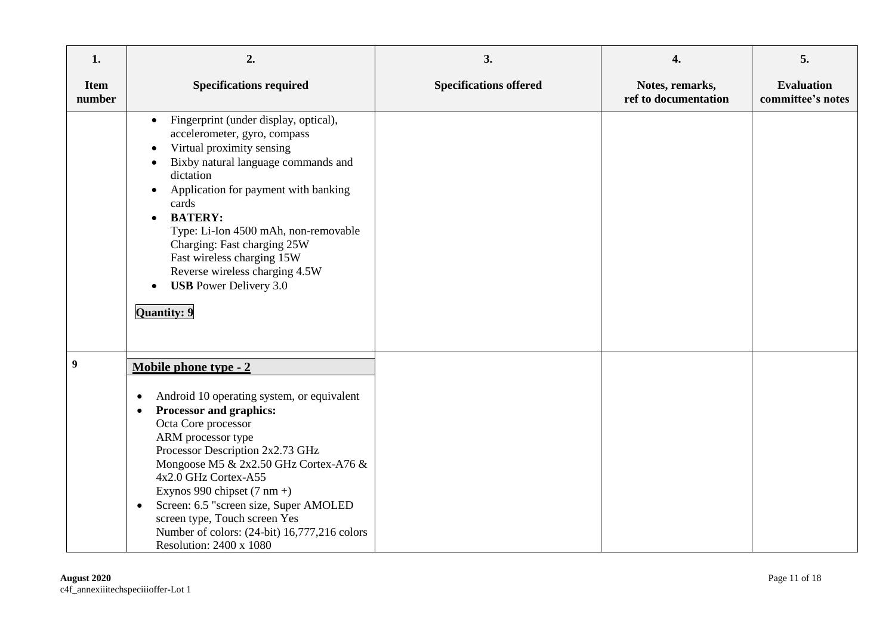| 1.                    | 2.                                                                                                                                                                                                                                                                                                                                                                                                                                                                                            | 3.                            | 4.                                      | 5.                                     |
|-----------------------|-----------------------------------------------------------------------------------------------------------------------------------------------------------------------------------------------------------------------------------------------------------------------------------------------------------------------------------------------------------------------------------------------------------------------------------------------------------------------------------------------|-------------------------------|-----------------------------------------|----------------------------------------|
| <b>Item</b><br>number | <b>Specifications required</b>                                                                                                                                                                                                                                                                                                                                                                                                                                                                | <b>Specifications offered</b> | Notes, remarks,<br>ref to documentation | <b>Evaluation</b><br>committee's notes |
|                       | Fingerprint (under display, optical),<br>$\bullet$<br>accelerometer, gyro, compass<br>Virtual proximity sensing<br>Bixby natural language commands and<br>dictation<br>Application for payment with banking<br>cards<br><b>BATERY:</b><br>$\bullet$<br>Type: Li-Ion 4500 mAh, non-removable<br>Charging: Fast charging 25W<br>Fast wireless charging 15W<br>Reverse wireless charging 4.5W<br><b>USB</b> Power Delivery 3.0<br>$\bullet$<br><b>Quantity: 9</b>                                |                               |                                         |                                        |
| $\boldsymbol{9}$      | Mobile phone type - 2<br>Android 10 operating system, or equivalent<br>$\bullet$<br>Processor and graphics:<br>$\bullet$<br>Octa Core processor<br>ARM processor type<br>Processor Description 2x2.73 GHz<br>Mongoose M5 & 2x2.50 GHz Cortex-A76 &<br>4x2.0 GHz Cortex-A55<br>Exynos 990 chipset $(7 \text{ nm} +)$<br>Screen: 6.5 "screen size, Super AMOLED<br>$\bullet$<br>screen type, Touch screen Yes<br>Number of colors: (24-bit) 16,777,216 colors<br><b>Resolution: 2400 x 1080</b> |                               |                                         |                                        |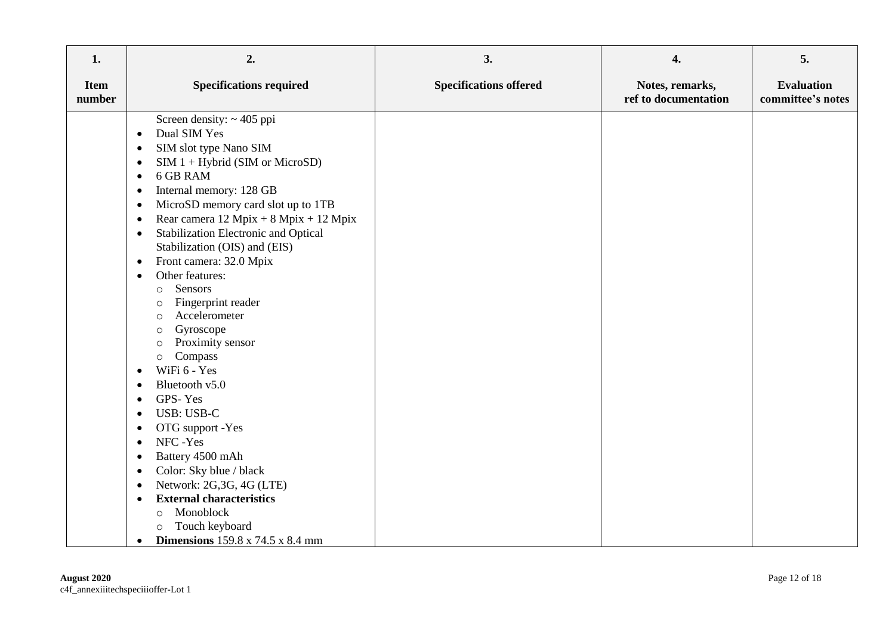| 1.                    | 2.                                                                                                                                                                                                                                                                                                                                                                                                                                                                                                                                                                                                                                                                                                                                                                                                                                                                                                                                                                                                                                                                                        | 3.                            | 4.                                      | 5.                                     |
|-----------------------|-------------------------------------------------------------------------------------------------------------------------------------------------------------------------------------------------------------------------------------------------------------------------------------------------------------------------------------------------------------------------------------------------------------------------------------------------------------------------------------------------------------------------------------------------------------------------------------------------------------------------------------------------------------------------------------------------------------------------------------------------------------------------------------------------------------------------------------------------------------------------------------------------------------------------------------------------------------------------------------------------------------------------------------------------------------------------------------------|-------------------------------|-----------------------------------------|----------------------------------------|
| <b>Item</b><br>number | <b>Specifications required</b>                                                                                                                                                                                                                                                                                                                                                                                                                                                                                                                                                                                                                                                                                                                                                                                                                                                                                                                                                                                                                                                            | <b>Specifications offered</b> | Notes, remarks,<br>ref to documentation | <b>Evaluation</b><br>committee's notes |
|                       | Screen density: $\sim$ 405 ppi<br>Dual SIM Yes<br>$\bullet$<br>SIM slot type Nano SIM<br>$\bullet$<br>$SIM 1 + Hybrid (SIM or MicroSD)$<br>$\bullet$<br>6 GB RAM<br>$\bullet$<br>Internal memory: 128 GB<br>$\bullet$<br>MicroSD memory card slot up to 1TB<br>$\bullet$<br>Rear camera 12 Mpix + 8 Mpix + 12 Mpix<br>$\bullet$<br>Stabilization Electronic and Optical<br>$\bullet$<br>Stabilization (OIS) and (EIS)<br>Front camera: 32.0 Mpix<br>$\bullet$<br>Other features:<br>$\bullet$<br>Sensors<br>$\circ$<br>Fingerprint reader<br>$\circ$<br>Accelerometer<br>$\circ$<br>Gyroscope<br>$\circ$<br>Proximity sensor<br>$\circ$<br>Compass<br>$\circ$<br>WiFi 6 - Yes<br>$\bullet$<br>Bluetooth v5.0<br>$\bullet$<br>GPS-Yes<br>$\bullet$<br><b>USB: USB-C</b><br>$\bullet$<br>OTG support -Yes<br>$\bullet$<br>NFC-Yes<br>$\bullet$<br>Battery 4500 mAh<br>Color: Sky blue / black<br>$\bullet$<br>Network: 2G,3G, 4G (LTE)<br>$\bullet$<br><b>External characteristics</b><br>Monoblock<br>$\circ$<br>Touch keyboard<br>$\circ$<br><b>Dimensions</b> 159.8 x 74.5 x 8.4 mm<br>٠ |                               |                                         |                                        |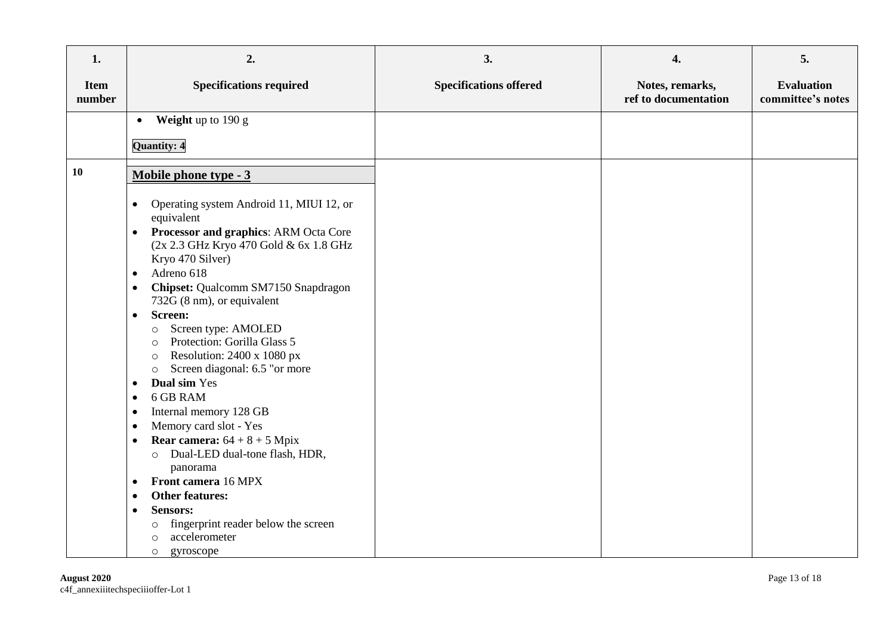| 1.                    | 2.                                                                                                                                                                                                                                                                                                                                                                                                                                                                                                                                                                                                                                                                                                                                                                                                                                                                                                                                                           | 3.                            | 4.                                      | 5.                                     |
|-----------------------|--------------------------------------------------------------------------------------------------------------------------------------------------------------------------------------------------------------------------------------------------------------------------------------------------------------------------------------------------------------------------------------------------------------------------------------------------------------------------------------------------------------------------------------------------------------------------------------------------------------------------------------------------------------------------------------------------------------------------------------------------------------------------------------------------------------------------------------------------------------------------------------------------------------------------------------------------------------|-------------------------------|-----------------------------------------|----------------------------------------|
| <b>Item</b><br>number | <b>Specifications required</b>                                                                                                                                                                                                                                                                                                                                                                                                                                                                                                                                                                                                                                                                                                                                                                                                                                                                                                                               | <b>Specifications offered</b> | Notes, remarks,<br>ref to documentation | <b>Evaluation</b><br>committee's notes |
|                       | Weight up to 190 g<br>$\bullet$                                                                                                                                                                                                                                                                                                                                                                                                                                                                                                                                                                                                                                                                                                                                                                                                                                                                                                                              |                               |                                         |                                        |
|                       | Quantity: 4                                                                                                                                                                                                                                                                                                                                                                                                                                                                                                                                                                                                                                                                                                                                                                                                                                                                                                                                                  |                               |                                         |                                        |
|                       |                                                                                                                                                                                                                                                                                                                                                                                                                                                                                                                                                                                                                                                                                                                                                                                                                                                                                                                                                              |                               |                                         |                                        |
| <b>10</b>             | Mobile phone type - 3                                                                                                                                                                                                                                                                                                                                                                                                                                                                                                                                                                                                                                                                                                                                                                                                                                                                                                                                        |                               |                                         |                                        |
|                       | Operating system Android 11, MIUI 12, or<br>$\bullet$<br>equivalent<br>Processor and graphics: ARM Octa Core<br>$\bullet$<br>(2x 2.3 GHz Kryo 470 Gold & 6x 1.8 GHz<br>Kryo 470 Silver)<br>Adreno 618<br>$\bullet$<br>Chipset: Qualcomm SM7150 Snapdragon<br>$\bullet$<br>732G (8 nm), or equivalent<br>Screen:<br>$\bullet$<br>Screen type: AMOLED<br>$\circ$<br>Protection: Gorilla Glass 5<br>$\circ$<br>Resolution: 2400 x 1080 px<br>$\circ$<br>Screen diagonal: 6.5 "or more<br>$\circ$<br><b>Dual sim Yes</b><br>$\bullet$<br>6 GB RAM<br>$\bullet$<br>Internal memory 128 GB<br>$\bullet$<br>Memory card slot - Yes<br>$\bullet$<br><b>Rear camera:</b> $64 + 8 + 5$ Mpix<br>$\bullet$<br>Dual-LED dual-tone flash, HDR,<br>$\circ$<br>panorama<br>Front camera 16 MPX<br>$\bullet$<br><b>Other features:</b><br>$\bullet$<br><b>Sensors:</b><br>$\bullet$<br>fingerprint reader below the screen<br>O<br>accelerometer<br>O<br>gyroscope<br>$\circ$ |                               |                                         |                                        |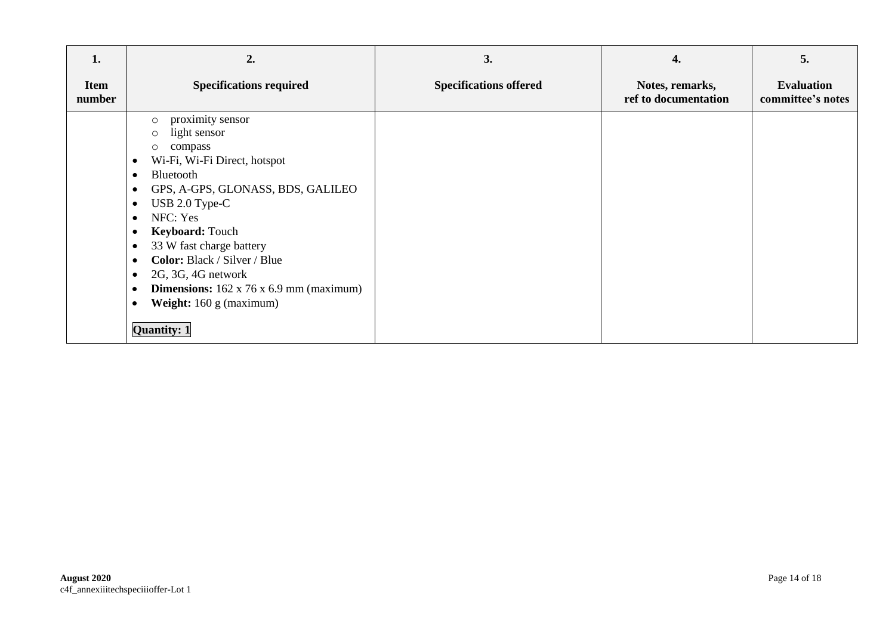| 1.                    | 2.                                                                                                                                                                                                                                                                                                                                                                                                                                                                                                                              | 3.                            | 4.                                      | 5.                                     |
|-----------------------|---------------------------------------------------------------------------------------------------------------------------------------------------------------------------------------------------------------------------------------------------------------------------------------------------------------------------------------------------------------------------------------------------------------------------------------------------------------------------------------------------------------------------------|-------------------------------|-----------------------------------------|----------------------------------------|
| <b>Item</b><br>number | <b>Specifications required</b>                                                                                                                                                                                                                                                                                                                                                                                                                                                                                                  | <b>Specifications offered</b> | Notes, remarks,<br>ref to documentation | <b>Evaluation</b><br>committee's notes |
|                       | proximity sensor<br>$\circ$<br>light sensor<br>$\circ$<br>compass<br>$\circ$<br>Wi-Fi, Wi-Fi Direct, hotspot<br>٠<br>Bluetooth<br>$\bullet$<br>GPS, A-GPS, GLONASS, BDS, GALILEO<br>٠<br>USB 2.0 Type-C<br>$\bullet$<br>NFC: Yes<br>$\bullet$<br>Keyboard: Touch<br>٠<br>33 W fast charge battery<br>٠<br>Color: Black / Silver / Blue<br>$\bullet$<br>2G, 3G, 4G network<br>$\bullet$<br><b>Dimensions:</b> $162 \times 76 \times 6.9$ mm (maximum)<br>$\bullet$<br>Weight: 160 g (maximum)<br>$\bullet$<br><b>Quantity: 1</b> |                               |                                         |                                        |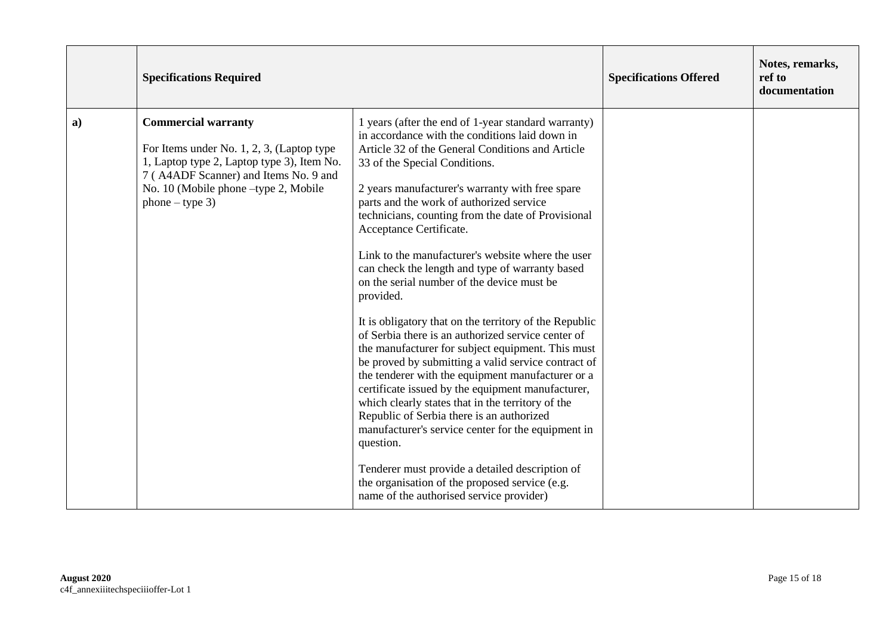|    | <b>Specifications Required</b>                                                                                                                                                                                              |                                                                                                                                                                                                                                                                                                                                                                                                                                                                                                                                                                                                                                                                                                                                                                                                                                                                                                                                                                                                                                                                                                                                                                                                           | <b>Specifications Offered</b> | Notes, remarks,<br>ref to<br>documentation |
|----|-----------------------------------------------------------------------------------------------------------------------------------------------------------------------------------------------------------------------------|-----------------------------------------------------------------------------------------------------------------------------------------------------------------------------------------------------------------------------------------------------------------------------------------------------------------------------------------------------------------------------------------------------------------------------------------------------------------------------------------------------------------------------------------------------------------------------------------------------------------------------------------------------------------------------------------------------------------------------------------------------------------------------------------------------------------------------------------------------------------------------------------------------------------------------------------------------------------------------------------------------------------------------------------------------------------------------------------------------------------------------------------------------------------------------------------------------------|-------------------------------|--------------------------------------------|
| a) | <b>Commercial warranty</b><br>For Items under No. 1, 2, 3, (Laptop type<br>1, Laptop type 2, Laptop type 3), Item No.<br>7 (A4ADF Scanner) and Items No. 9 and<br>No. 10 (Mobile phone -type 2, Mobile<br>$phone - type 3)$ | 1 years (after the end of 1-year standard warranty)<br>in accordance with the conditions laid down in<br>Article 32 of the General Conditions and Article<br>33 of the Special Conditions.<br>2 years manufacturer's warranty with free spare<br>parts and the work of authorized service<br>technicians, counting from the date of Provisional<br>Acceptance Certificate.<br>Link to the manufacturer's website where the user<br>can check the length and type of warranty based<br>on the serial number of the device must be<br>provided.<br>It is obligatory that on the territory of the Republic<br>of Serbia there is an authorized service center of<br>the manufacturer for subject equipment. This must<br>be proved by submitting a valid service contract of<br>the tenderer with the equipment manufacturer or a<br>certificate issued by the equipment manufacturer,<br>which clearly states that in the territory of the<br>Republic of Serbia there is an authorized<br>manufacturer's service center for the equipment in<br>question.<br>Tenderer must provide a detailed description of<br>the organisation of the proposed service (e.g.<br>name of the authorised service provider) |                               |                                            |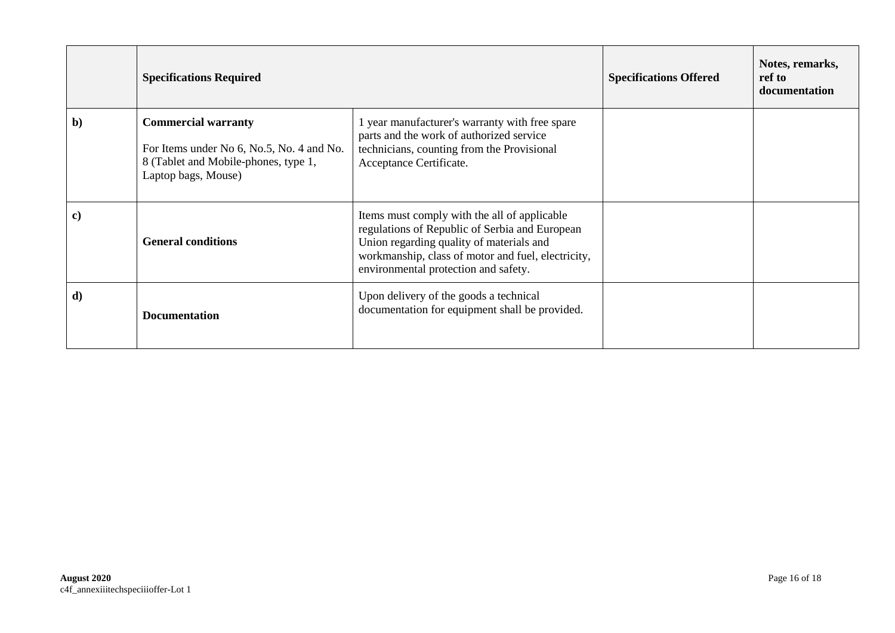|              | <b>Specifications Required</b>                                                                                                         |                                                                                                                                                                                                                                          | <b>Specifications Offered</b> | Notes, remarks,<br>ref to<br>documentation |
|--------------|----------------------------------------------------------------------------------------------------------------------------------------|------------------------------------------------------------------------------------------------------------------------------------------------------------------------------------------------------------------------------------------|-------------------------------|--------------------------------------------|
| $\mathbf{b}$ | <b>Commercial warranty</b><br>For Items under No 6, No.5, No. 4 and No.<br>8 (Tablet and Mobile-phones, type 1,<br>Laptop bags, Mouse) | 1 year manufacturer's warranty with free spare<br>parts and the work of authorized service<br>technicians, counting from the Provisional<br>Acceptance Certificate.                                                                      |                               |                                            |
| $\bf c)$     | <b>General conditions</b>                                                                                                              | Items must comply with the all of applicable<br>regulations of Republic of Serbia and European<br>Union regarding quality of materials and<br>workmanship, class of motor and fuel, electricity,<br>environmental protection and safety. |                               |                                            |
| d)           | <b>Documentation</b>                                                                                                                   | Upon delivery of the goods a technical<br>documentation for equipment shall be provided.                                                                                                                                                 |                               |                                            |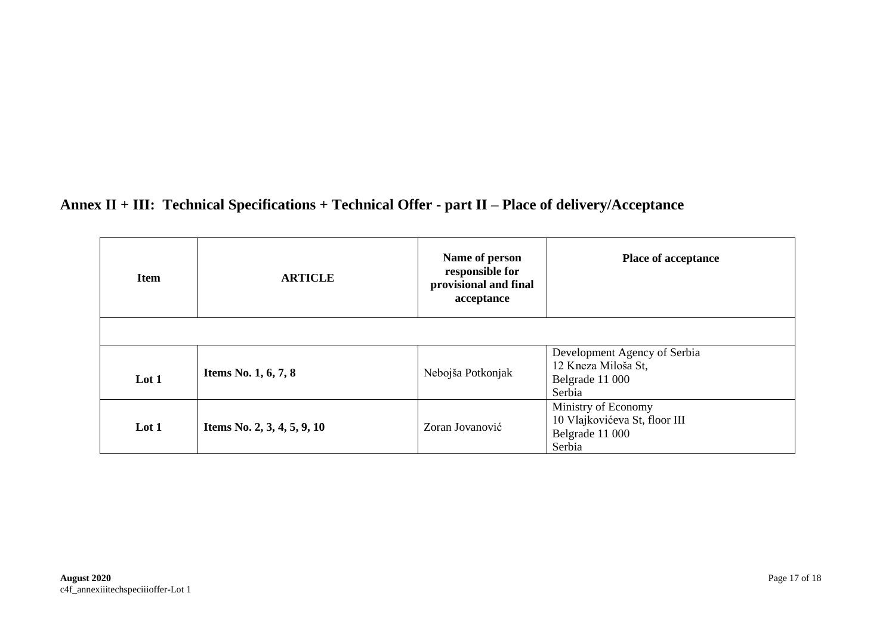## **Annex II + III: Technical Specifications + Technical Offer - part II – Place of delivery/Acceptance**

| <b>Item</b> | <b>ARTICLE</b>              | Name of person<br>responsible for<br>provisional and final<br>acceptance | <b>Place of acceptance</b>                                                        |
|-------------|-----------------------------|--------------------------------------------------------------------------|-----------------------------------------------------------------------------------|
|             |                             |                                                                          |                                                                                   |
| Lot 1       | Items No. 1, 6, 7, 8        | Nebojša Potkonjak                                                        | Development Agency of Serbia<br>12 Kneza Miloša St,<br>Belgrade 11 000<br>Serbia  |
| Lot $1$     | Items No. 2, 3, 4, 5, 9, 10 | Zoran Jovanović                                                          | Ministry of Economy<br>10 Vlajkovićeva St, floor III<br>Belgrade 11 000<br>Serbia |